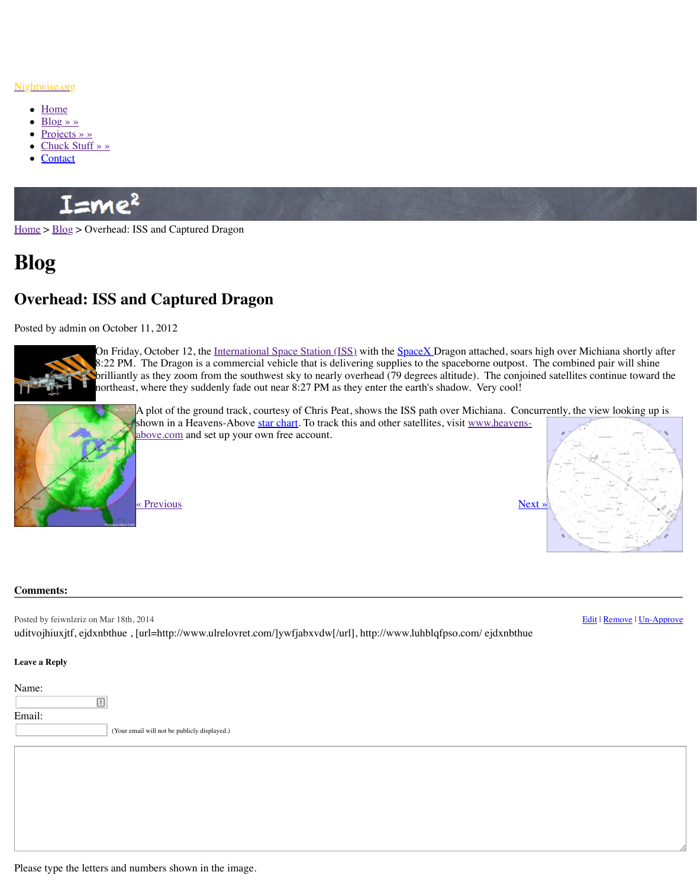

On Friday, October 12, the <u>International Space Station (1SS)</u> with the S<u>pa</u> 8:22 PM. The Dragon is a commercial vehicle that is delivering supplies brilliantly as they zoom from the southwest sky to nearly overhead (79 degrees altitude). The continue toward the continue to northeast, where they suddenly fade out near 8:27 PM as they enter the earth



A plot of the ground track, courtesy of Chris Peat, shows the ISS shown in a Heavens-Above star chart. To track this and other sat [above.com and set up your own free account.](http://www.nightwise.org/)

« Previous » Next » Next » Next » Next » Next » Next » Next » Next » Next » Next » Next » Next » Next » Next » Next » Next » Next » Next » Next » Next » Next » Next » Next » Next » Next » Next » Next » Next » Next » Next »

## **[Comm](http://www.nightwise.org/)e[nts:](http://www.nightwise.org/blog/)**

Posted by feiwnlzriz on Mar 18th, 2014 uditvojhiuxjtf, ejdxnbthue, [url=http://www.ulrelovret.com/]ywfjabxvdw[/url], http://www.l

## **Leave a Reply**

Name: 圓 Email: (Your email will not be publicly displayed.)

Please type the letters and numbers shown in the image.